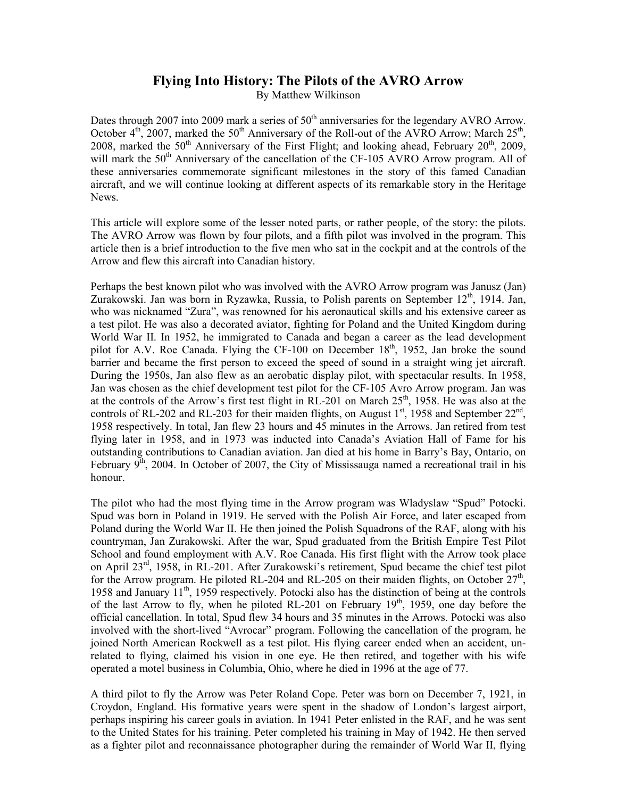## **Flying Into History: The Pilots of the AVRO Arrow**

By Matthew Wilkinson

Dates through 2007 into 2009 mark a series of  $50<sup>th</sup>$  anniversaries for the legendary AVRO Arrow. October  $4<sup>th</sup>$ , 2007, marked the 50<sup>th</sup> Anniversary of the Roll-out of the AVRO Arrow; March 25<sup>th</sup>, 2008, marked the  $50<sup>th</sup>$  Anniversary of the First Flight; and looking ahead, February  $20<sup>th</sup>$ ,  $2009$ , will mark the  $50<sup>th</sup>$  Anniversary of the cancellation of the CF-105 AVRO Arrow program. All of these anniversaries commemorate significant milestones in the story of this famed Canadian aircraft, and we will continue looking at different aspects of its remarkable story in the Heritage News.

This article will explore some of the lesser noted parts, or rather people, of the story: the pilots. The AVRO Arrow was flown by four pilots, and a fifth pilot was involved in the program. This article then is a brief introduction to the five men who sat in the cockpit and at the controls of the Arrow and flew this aircraft into Canadian history.

Perhaps the best known pilot who was involved with the AVRO Arrow program was Janusz (Jan) Zurakowski. Jan was born in Ryzawka, Russia, to Polish parents on September  $12<sup>th</sup>$ , 1914. Jan, who was nicknamed "Zura", was renowned for his aeronautical skills and his extensive career as a test pilot. He was also a decorated aviator, fighting for Poland and the United Kingdom during World War II. In 1952, he immigrated to Canada and began a career as the lead development pilot for A.V. Roe Canada. Flying the CF-100 on December  $18<sup>th</sup>$ , 1952, Jan broke the sound barrier and became the first person to exceed the speed of sound in a straight wing jet aircraft. During the 1950s, Jan also flew as an aerobatic display pilot, with spectacular results. In 1958, Jan was chosen as the chief development test pilot for the CF-105 Avro Arrow program. Jan was at the controls of the Arrow's first test flight in RL-201 on March  $25<sup>th</sup>$ , 1958. He was also at the controls of RL-202 and RL-203 for their maiden flights, on August  $1<sup>st</sup>$ , 1958 and September  $22<sup>nd</sup>$ , 1958 respectively. In total, Jan flew 23 hours and 45 minutes in the Arrows. Jan retired from test flying later in 1958, and in 1973 was inducted into Canada's Aviation Hall of Fame for his outstanding contributions to Canadian aviation. Jan died at his home in Barry's Bay, Ontario, on February  $9<sup>th</sup>$ , 2004. In October of 2007, the City of Mississauga named a recreational trail in his honour.

The pilot who had the most flying time in the Arrow program was Wladyslaw "Spud" Potocki. Spud was born in Poland in 1919. He served with the Polish Air Force, and later escaped from Poland during the World War II. He then joined the Polish Squadrons of the RAF, along with his countryman, Jan Zurakowski. After the war, Spud graduated from the British Empire Test Pilot School and found employment with A.V. Roe Canada. His first flight with the Arrow took place on April 23rd, 1958, in RL-201. After Zurakowski's retirement, Spud became the chief test pilot for the Arrow program. He piloted RL-204 and RL-205 on their maiden flights, on October  $27<sup>th</sup>$ , 1958 and January  $11<sup>th</sup>$ , 1959 respectively. Potocki also has the distinction of being at the controls of the last Arrow to fly, when he piloted RL-201 on February  $19<sup>th</sup>$ , 1959, one day before the official cancellation. In total, Spud flew 34 hours and 35 minutes in the Arrows. Potocki was also involved with the short-lived "Avrocar" program. Following the cancellation of the program, he joined North American Rockwell as a test pilot. His flying career ended when an accident, unrelated to flying, claimed his vision in one eye. He then retired, and together with his wife operated a motel business in Columbia, Ohio, where he died in 1996 at the age of 77.

A third pilot to fly the Arrow was Peter Roland Cope. Peter was born on December 7, 1921, in Croydon, England. His formative years were spent in the shadow of London's largest airport, perhaps inspiring his career goals in aviation. In 1941 Peter enlisted in the RAF, and he was sent to the United States for his training. Peter completed his training in May of 1942. He then served as a fighter pilot and reconnaissance photographer during the remainder of World War II, flying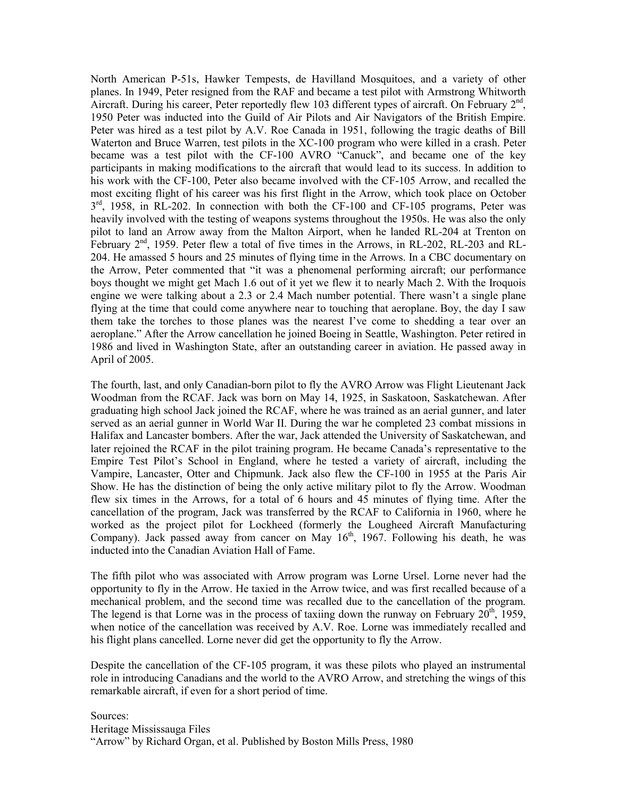North American P-51s, Hawker Tempests, de Havilland Mosquitoes, and a variety of other planes. In 1949, Peter resigned from the RAF and became a test pilot with Armstrong Whitworth Aircraft. During his career, Peter reportedly flew 103 different types of aircraft. On February  $2<sup>nd</sup>$ , 1950 Peter was inducted into the Guild of Air Pilots and Air Navigators of the British Empire. Peter was hired as a test pilot by A.V. Roe Canada in 1951, following the tragic deaths of Bill Waterton and Bruce Warren, test pilots in the XC-100 program who were killed in a crash. Peter became was a test pilot with the CF-100 AVRO "Canuck", and became one of the key participants in making modifications to the aircraft that would lead to its success. In addition to his work with the CF-100, Peter also became involved with the CF-105 Arrow, and recalled the most exciting flight of his career was his first flight in the Arrow, which took place on October  $3<sup>rd</sup>$ , 1958, in RL-202. In connection with both the CF-100 and CF-105 programs, Peter was heavily involved with the testing of weapons systems throughout the 1950s. He was also the only pilot to land an Arrow away from the Malton Airport, when he landed RL-204 at Trenton on February 2<sup>nd</sup>, 1959. Peter flew a total of five times in the Arrows, in RL-202, RL-203 and RL-204. He amassed 5 hours and 25 minutes of flying time in the Arrows. In a CBC documentary on the Arrow, Peter commented that "it was a phenomenal performing aircraft; our performance boys thought we might get Mach 1.6 out of it yet we flew it to nearly Mach 2. With the Iroquois engine we were talking about a 2.3 or 2.4 Mach number potential. There wasn't a single plane flying at the time that could come anywhere near to touching that aeroplane. Boy, the day I saw them take the torches to those planes was the nearest I've come to shedding a tear over an aeroplane." After the Arrow cancellation he joined Boeing in Seattle, Washington. Peter retired in 1986 and lived in Washington State, after an outstanding career in aviation. He passed away in April of 2005.

The fourth, last, and only Canadian-born pilot to fly the AVRO Arrow was Flight Lieutenant Jack Woodman from the RCAF. Jack was born on May 14, 1925, in Saskatoon, Saskatchewan. After graduating high school Jack joined the RCAF, where he was trained as an aerial gunner, and later served as an aerial gunner in World War II. During the war he completed 23 combat missions in Halifax and Lancaster bombers. After the war, Jack attended the University of Saskatchewan, and later rejoined the RCAF in the pilot training program. He became Canada's representative to the Empire Test Pilot's School in England, where he tested a variety of aircraft, including the Vampire, Lancaster, Otter and Chipmunk. Jack also flew the CF-100 in 1955 at the Paris Air Show. He has the distinction of being the only active military pilot to fly the Arrow. Woodman flew six times in the Arrows, for a total of 6 hours and 45 minutes of flying time. After the cancellation of the program, Jack was transferred by the RCAF to California in 1960, where he worked as the project pilot for Lockheed (formerly the Lougheed Aircraft Manufacturing Company). Jack passed away from cancer on May  $16<sup>th</sup>$ , 1967. Following his death, he was inducted into the Canadian Aviation Hall of Fame.

The fifth pilot who was associated with Arrow program was Lorne Ursel. Lorne never had the opportunity to fly in the Arrow. He taxied in the Arrow twice, and was first recalled because of a mechanical problem, and the second time was recalled due to the cancellation of the program. The legend is that Lorne was in the process of taxiing down the runway on February  $20<sup>th</sup>$ , 1959, when notice of the cancellation was received by A.V. Roe. Lorne was immediately recalled and his flight plans cancelled. Lorne never did get the opportunity to fly the Arrow.

Despite the cancellation of the CF-105 program, it was these pilots who played an instrumental role in introducing Canadians and the world to the AVRO Arrow, and stretching the wings of this remarkable aircraft, if even for a short period of time.

Sources: Heritage Mississauga Files "Arrow" by Richard Organ, et al. Published by Boston Mills Press, 1980